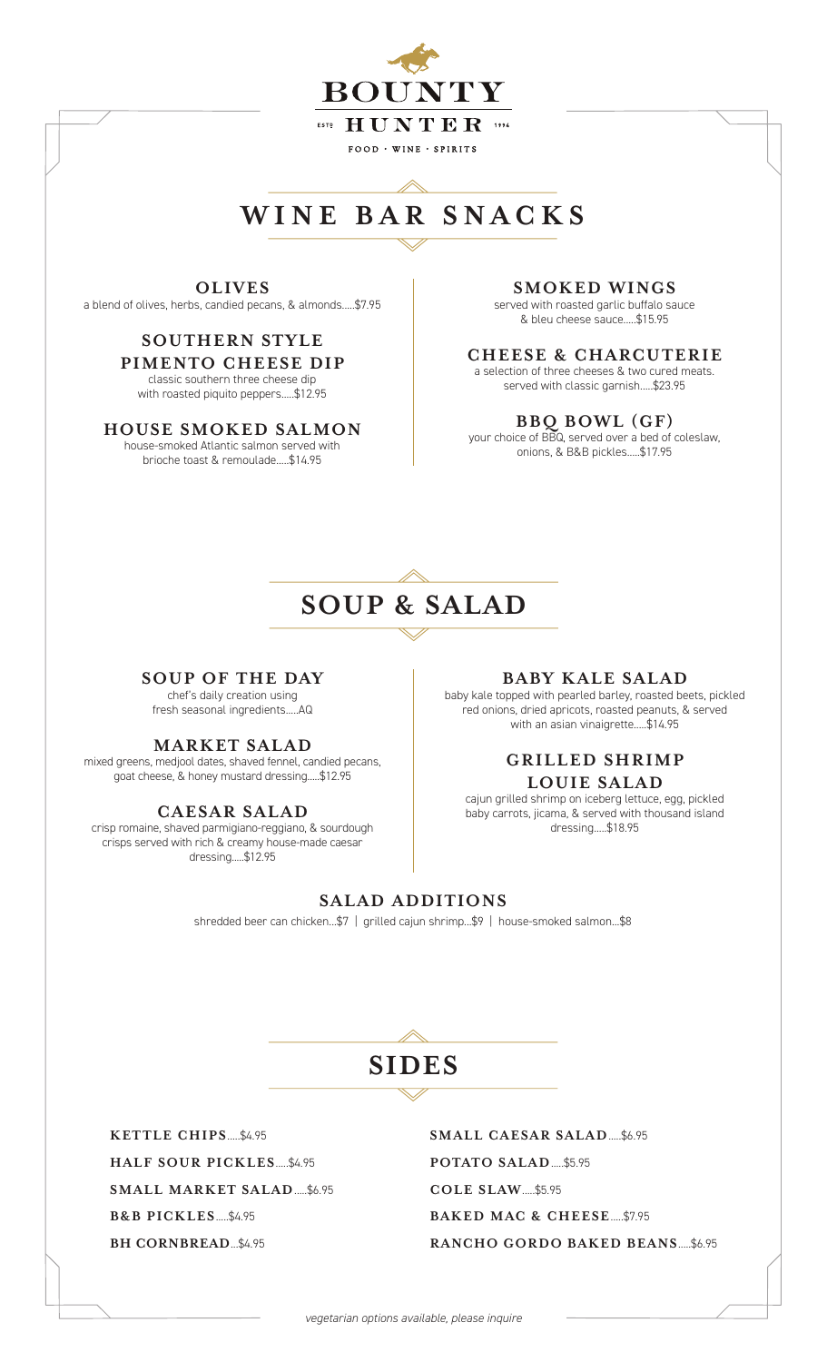

## **WINE BAR SNACKS**

**OLIVES** a blend of olives, herbs, candied pecans, & almonds.....\$7.95

### **SOU THERN STYLE**

**PIMENTO CHEESE DIP**  classic southern three cheese dip with roasted piquito peppers.....\$12.95

#### **HOUSE SMOKED SALMON**

house-smoked Atlantic salmon served with brioche toast & remoulade.....\$14.95

#### **SMOKED WINGS**

served with roasted garlic buffalo sauce & bleu cheese sauce.....\$15.95

### **CHEESE & CHARCUTERIE**

a selection of three cheeses & two cured meats. served with classic garnish.....\$23.95

#### **BBQ BOWL (GF)**

your choice of BBQ, served over a bed of coleslaw, onions, & B&B pickles.....\$17.95

## **SOUP & SALAD**

#### **SOUP OF THE DAY**

chef's daily creation using fresh seasonal ingredients.....AQ

#### **MARKET SALAD**

mixed greens, medjool dates, shaved fennel, candied pecans, goat cheese, & honey mustard dressing.....\$12.95

#### **CAESAR SALAD**

crisp romaine, shaved parmigiano-reggiano, & sourdough crisps served with rich & creamy house-made caesar dressing.....\$12.95

#### **BABY KALE SALAD**

baby kale topped with pearled barley, roasted beets, pickled red onions, dried apricots, roasted peanuts, & served with an asian vinaigrette.....\$14.95

#### **GRILLED SHRIMP LOUIE SALAD**

cajun grilled shrimp on iceberg lettuce, egg, pickled baby carrots, jicama, & served with thousand island dressing.....\$18.95

#### **SALAD ADDITIONS**

shredded beer can chicken...\$7 | grilled cajun shrimp...\$9 | house-smoked salmon...\$8

**SIDES**

**KETTLE CHIPS**.....\$4.95 **HALF SOUR PICKLES**.....\$4.95 **SMALL MARKET SALAD**.....\$6.95 **B&B PICKLES**.....\$4.95 **BH CORNBREAD**...\$4.95

**SMALL CAESAR SALAD**.....\$6.95 **POTATO SALAD**.....\$5.95 **COLE SLAW**.....\$5.95 **BAKED MAC & CHEESE**.....\$7.95 **RANCHO GORDO BAKED BEANS**.....\$6.95